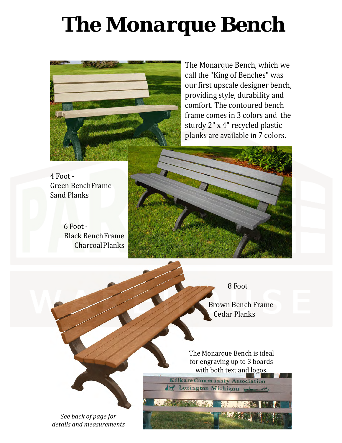## *The Monarque Bench*



The Monarque Bench, which we call the "King of Benches" was our first upscale designer bench, providing style, durability and comfort. The contoured bench frame comes in 3 colors and the sturdy 2" x 4" recycled plastic planks are available in 7 colors.

4 Foot - Green BenchFrame Sand Planks

6 Foot - Black BenchFrame CharcoalPlanks



8 Foot

 Brown Bench Frame Cedar Planks

The Monarque Bench is ideal for engraving up to 3 boards

with both text and logos.<br>Kilkare Community Association Lexington Michigan

*See back of page for details and measurements*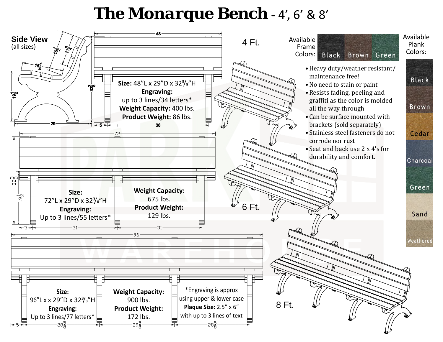## *The Monarque Bench* **-** 4', 6' & 8'

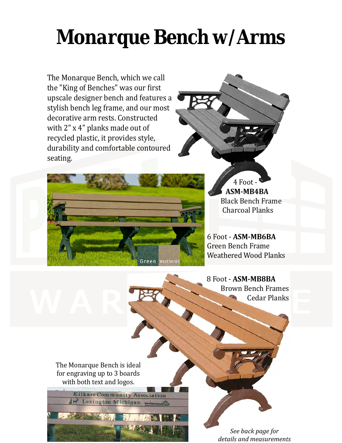## *Monarque Bench w/Arms*

The Monarque Bench, which we call the "King of Benches" was our first upscale designer bench and features a stylish bench leg frame, and our most decorative arm rests. Constructed with 2" x 4" planks made out of recycled plastic, it provides style, durability and comfortable contoured seating.



4 Foot **ASM-MB4BA** Black Bench Frame Charcoal Planks

6 Foot - **ASM-MB6BA** Green Bench Frame Weathered Wood Planks

8 Foot - **ASM-MB8BA** Brown Bench Frames Cedar Planks

The Monarque Bench is ideal for engraving up to 3 boards with both text and logos.

**The Committee of the Ale** 

Kilkare Community Association

1. Lexington Michigan

*See back page for details and measurements*